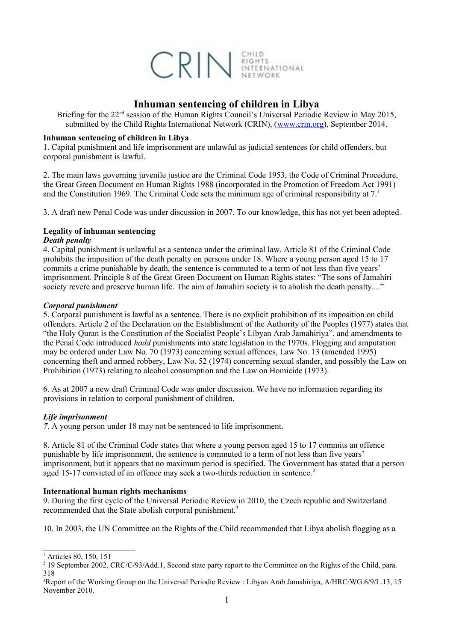

# **Inhuman sentencing of children in Libya**

Briefing for the 22<sup>nd</sup> session of the Human Rights Council's Universal Periodic Review in May 2015, submitted by the Child Rights International Network (CRIN), [\(www.crin.org\)](http://www.crin.org/), September 2014.

## **Inhuman sentencing of children in Libya**

1. Capital punishment and life imprisonment are unlawful as judicial sentences for child offenders, but corporal punishment is lawful.

2. The main laws governing juvenile justice are the Criminal Code 1953, the Code of Criminal Procedure, the Great Green Document on Human Rights 1988 (incorporated in the Promotion of Freedom Act 1991) and the Constitution [1](#page-0-0)969. The Criminal Code sets the minimum age of criminal responsibility at  $7<sup>1</sup>$ 

3. A draft new Penal Code was under discussion in 2007. To our knowledge, this has not yet been adopted.

# **Legality of inhuman sentencing**

### *Death penalty*

4. Capital punishment is unlawful as a sentence under the criminal law. Article 81 of the Criminal Code prohibits the imposition of the death penalty on persons under 18. Where a young person aged 15 to 17 commits a crime punishable by death, the sentence is commuted to a term of not less than five years' imprisonment. Principle 8 of the Great Green Document on Human Rights states: "The sons of Jamahiri society revere and preserve human life. The aim of Jamahiri society is to abolish the death penalty...."

# *Corporal punishment*

5. Corporal punishment is lawful as a sentence. There is no explicit prohibition of its imposition on child offenders. Article 2 of the Declaration on the Establishment of the Authority of the Peoples (1977) states that "the Holy Quran is the Constitution of the Socialist People's Libyan Arab Jamahiriya", and amendments to the Penal Code introduced *hadd* punishments into state legislation in the 1970s. Flogging and amputation may be ordered under Law No. 70 (1973) concerning sexual offences, Law No. 13 (amended 1995) concerning theft and armed robbery, Law No. 52 (1974) concerning sexual slander, and possibly the Law on Prohibition (1973) relating to alcohol consumption and the Law on Homicide (1973).

6. As at 2007 a new draft Criminal Code was under discussion. We have no information regarding its provisions in relation to corporal punishment of children.

### *Life imprisonment*

*7*. A young person under 18 may not be sentenced to life imprisonment.

8. Article 81 of the Criminal Code states that where a young person aged 15 to 17 commits an offence punishable by life imprisonment, the sentence is commuted to a term of not less than five years' imprisonment, but it appears that no maximum period is specified. The Government has stated that a person aged 15-17 convicted of an offence may seek a two-thirds reduction in sentence.<sup>[2](#page-0-1)</sup>

### **International human rights mechanisms**

9. During the first cycle of the Universal Periodic Review in 2010, the Czech republic and Switzerland recommended that the State abolish corporal punishment.[3](#page-0-2)

10. In 2003, the UN Committee on the Rights of the Child recommended that Libya abolish flogging as a

<span id="page-0-0"></span><sup>&</sup>lt;sup>1</sup> Articles 80, 150, 151

<span id="page-0-1"></span><sup>&</sup>lt;sup>2</sup> 19 September 2002, CRC/C/93/Add.1, Second state party report to the Committee on the Rights of the Child, para. 318

<span id="page-0-2"></span><sup>3</sup>Report of the Working Group on the Universal Periodic Review : Libyan Arab Jamahiriya, A/HRC/WG.6/9/L.13, 15 November 2010.